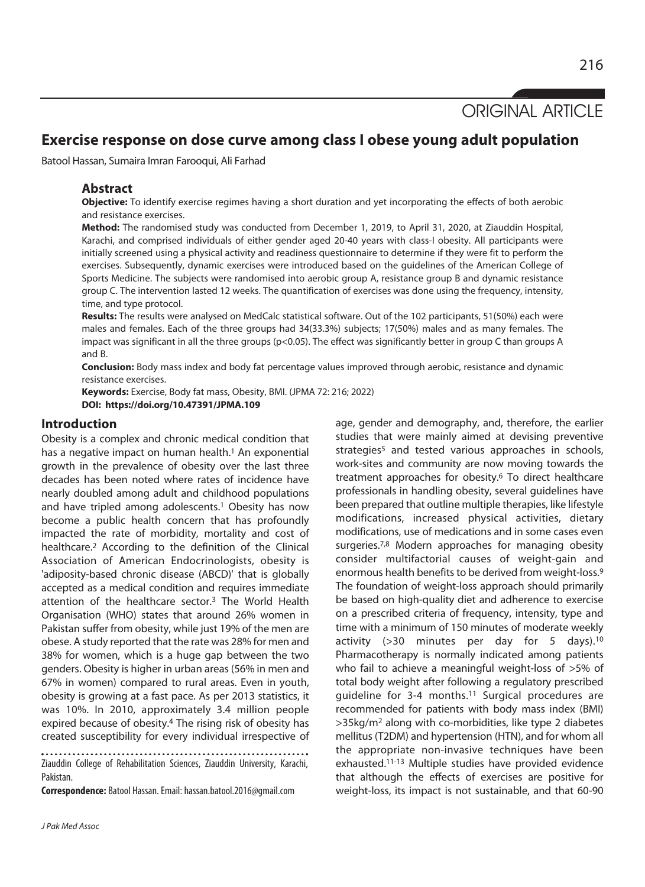ORIGINAL ARTICLE

age, gender and demography, and, therefore, the earlier studies that were mainly aimed at devising preventive strategies<sup>5</sup> and tested various approaches in schools, work-sites and community are now moving towards the treatment approaches for obesity.6 To direct healthcare professionals in handling obesity, several guidelines have been prepared that outline multiple therapies, like lifestyle modifications, increased physical activities, dietary modifications, use of medications and in some cases even surgeries.<sup>7,8</sup> Modern approaches for managing obesity consider multifactorial causes of weight-gain and enormous health benefits to be derived from weight-loss.9 The foundation of weight-loss approach should primarily be based on high-quality diet and adherence to exercise on a prescribed criteria of frequency, intensity, type and

# **Exercise response on dose curve among class I obese young adult population**

Batool Hassan, Sumaira Imran Farooqui, Ali Farhad

#### **Abstract**

**Objective:** To identify exercise regimes having a short duration and yet incorporating the effects of both aerobic and resistance exercises.

**Method:** The randomised study was conducted from December 1, 2019, to April 31, 2020, at Ziauddin Hospital, Karachi, and comprised individuals of either gender aged 20-40 years with class-I obesity. All participants were initially screened using a physical activity and readiness questionnaire to determine if they were fit to perform the exercises. Subsequently, dynamic exercises were introduced based on the guidelines of the American College of Sports Medicine. The subjects were randomised into aerobic group A, resistance group B and dynamic resistance group C. The intervention lasted 12 weeks. The quantification of exercises was done using the frequency, intensity, time, and type protocol.

**Results:** The results were analysed on MedCalc statistical software. Out of the 102 participants, 51(50%) each were males and females. Each of the three groups had 34(33.3%) subjects; 17(50%) males and as many females. The impact was significant in all the three groups (p<0.05). The effect was significantly better in group C than groups A and B.

**Conclusion:** Body mass index and body fat percentage values improved through aerobic, resistance and dynamic resistance exercises.

**Keywords:** Exercise, Body fat mass, Obesity, BMI. (JPMA 72: 216; 2022) **DOI: https://doi.org/10.47391/JPMA.109** 

#### **Introduction**

Obesity is a complex and chronic medical condition that has a negative impact on human health.<sup>1</sup> An exponential growth in the prevalence of obesity over the last three decades has been noted where rates of incidence have nearly doubled among adult and childhood populations and have tripled among adolescents.<sup>1</sup> Obesity has now become a public health concern that has profoundly impacted the rate of morbidity, mortality and cost of healthcare.2 According to the definition of the Clinical Association of American Endocrinologists, obesity is 'adiposity-based chronic disease (ABCD)' that is globally accepted as a medical condition and requires immediate attention of the healthcare sector.3 The World Health Organisation (WHO) states that around 26% women in Pakistan suffer from obesity, while just 19% of the men are obese. A study reported that the rate was 28% for men and 38% for women, which is a huge gap between the two genders. Obesity is higher in urban areas (56% in men and 67% in women) compared to rural areas. Even in youth, obesity is growing at a fast pace. As per 2013 statistics, it was 10%. In 2010, approximately 3.4 million people expired because of obesity.4 The rising risk of obesity has created susceptibility for every individual irrespective of

Ziauddin College of Rehabilitation Sciences, Ziauddin University, Karachi, Pakistan.

**Correspondence:** Batool Hassan. Email: hassan.batool.2016@gmail.com

time with a minimum of 150 minutes of moderate weekly activity (>30 minutes per day for 5 days).10 Pharmacotherapy is normally indicated among patients who fail to achieve a meaningful weight-loss of >5% of total body weight after following a regulatory prescribed guideline for 3-4 months.11 Surgical procedures are recommended for patients with body mass index (BMI) >35kg/m2 along with co-morbidities, like type 2 diabetes mellitus (T2DM) and hypertension (HTN), and for whom all the appropriate non-invasive techniques have been exhausted.11-13 Multiple studies have provided evidence that although the effects of exercises are positive for weight-loss, its impact is not sustainable, and that 60-90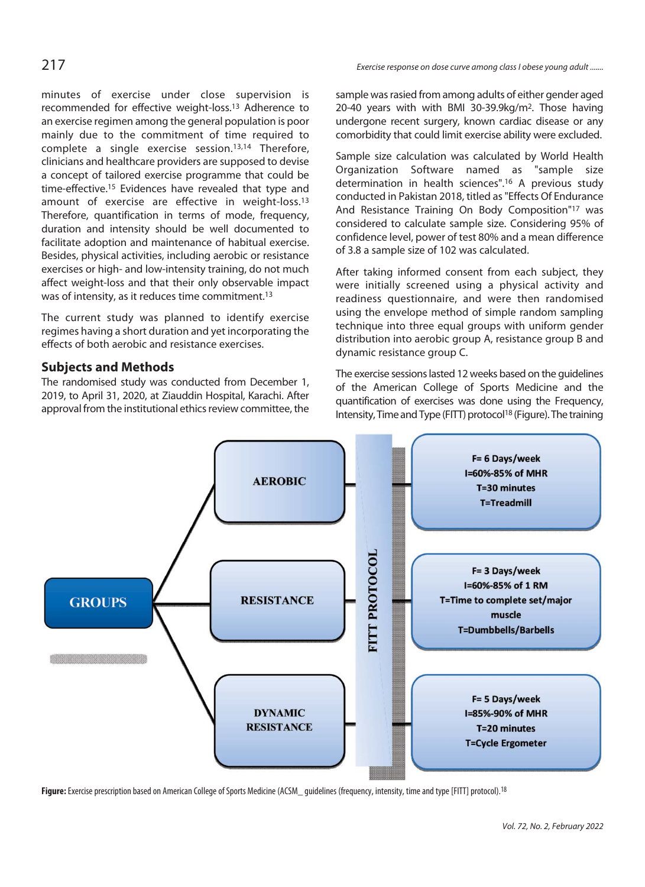minutes of exercise under close supervision is recommended for effective weight-loss.13 Adherence to an exercise regimen among the general population is poor mainly due to the commitment of time required to complete a single exercise session.13,14 Therefore, clinicians and healthcare providers are supposed to devise a concept of tailored exercise programme that could be time-effective.15 Evidences have revealed that type and amount of exercise are effective in weight-loss.13 Therefore, quantification in terms of mode, frequency, duration and intensity should be well documented to facilitate adoption and maintenance of habitual exercise. Besides, physical activities, including aerobic or resistance exercises or high- and low-intensity training, do not much affect weight-loss and that their only observable impact was of intensity, as it reduces time commitment.<sup>13</sup>

The current study was planned to identify exercise regimes having a short duration and yet incorporating the effects of both aerobic and resistance exercises.

# **Subjects and Methods**

The randomised study was conducted from December 1, 2019, to April 31, 2020, at Ziauddin Hospital, Karachi. After approval from the institutional ethics review committee, the sample was rasied from among adults of either gender aged 20-40 years with with BMI 30-39.9kg/m2. Those having undergone recent surgery, known cardiac disease or any comorbidity that could limit exercise ability were excluded.

Sample size calculation was calculated by World Health Organization Software named as "sample size determination in health sciences".16 A previous study conducted in Pakistan 2018, titled as "Effects Of Endurance And Resistance Training On Body Composition"17 was considered to calculate sample size. Considering 95% of confidence level, power of test 80% and a mean difference of 3.8 a sample size of 102 was calculated.

After taking informed consent from each subject, they were initially screened using a physical activity and readiness questionnaire, and were then randomised using the envelope method of simple random sampling technique into three equal groups with uniform gender distribution into aerobic group A, resistance group B and dynamic resistance group C.

The exercise sessions lasted 12 weeks based on the guidelines of the American College of Sports Medicine and the quantification of exercises was done using the Frequency, Intensity, Time and Type (FITT) protocol18 (Figure). The training



Figure: Exercise prescription based on American College of Sports Medicine (ACSM<sub>guidelines (frequency, intensity, time and type [FITT] protocol).<sup>18</sup></sub>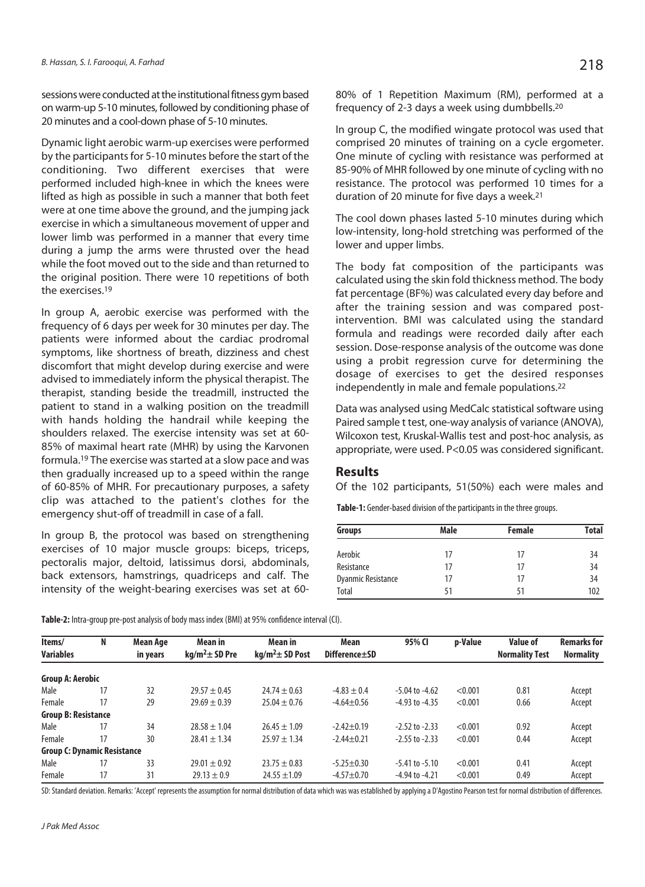sessions were conducted at the institutional fitness gym based on warm-up 5-10 minutes, followed by conditioning phase of 20 minutes and a cool-down phase of 5-10 minutes.

Dynamic light aerobic warm-up exercises were performed by the participants for 5-10 minutes before the start of the conditioning. Two different exercises that were performed included high-knee in which the knees were lifted as high as possible in such a manner that both feet were at one time above the ground, and the jumping jack exercise in which a simultaneous movement of upper and lower limb was performed in a manner that every time during a jump the arms were thrusted over the head while the foot moved out to the side and than returned to the original position. There were 10 repetitions of both the exercises.19

In group A, aerobic exercise was performed with the frequency of 6 days per week for 30 minutes per day. The patients were informed about the cardiac prodromal symptoms, like shortness of breath, dizziness and chest discomfort that might develop during exercise and were advised to immediately inform the physical therapist. The therapist, standing beside the treadmill, instructed the patient to stand in a walking position on the treadmill with hands holding the handrail while keeping the shoulders relaxed. The exercise intensity was set at 60- 85% of maximal heart rate (MHR) by using the Karvonen formula.19 The exercise was started at a slow pace and was then gradually increased up to a speed within the range of 60-85% of MHR. For precautionary purposes, a safety clip was attached to the patient's clothes for the emergency shut-off of treadmill in case of a fall.

In group B, the protocol was based on strengthening exercises of 10 major muscle groups: biceps, triceps, pectoralis major, deltoid, latissimus dorsi, abdominals, back extensors, hamstrings, quadriceps and calf. The intensity of the weight-bearing exercises was set at 6080% of 1 Repetition Maximum (RM), performed at a frequency of 2-3 days a week using dumbbells.20

In group C, the modified wingate protocol was used that comprised 20 minutes of training on a cycle ergometer. One minute of cycling with resistance was performed at 85-90% of MHR followed by one minute of cycling with no resistance. The protocol was performed 10 times for a duration of 20 minute for five days a week.21

The cool down phases lasted 5-10 minutes during which low-intensity, long-hold stretching was performed of the lower and upper limbs.

The body fat composition of the participants was calculated using the skin fold thickness method. The body fat percentage (BF%) was calculated every day before and after the training session and was compared postintervention. BMI was calculated using the standard formula and readings were recorded daily after each session. Dose-response analysis of the outcome was done using a probit regression curve for determining the dosage of exercises to get the desired responses independently in male and female populations.22

Data was analysed using MedCalc statistical software using Paired sample t test, one-way analysis of variance (ANOVA), Wilcoxon test, Kruskal-Wallis test and post-hoc analysis, as appropriate, were used. P<0.05 was considered significant.

### **Results**

Of the 102 participants, 51(50%) each were males and

**Table-1:** Gender-based division of the participants in the three groups.

| <b>Groups</b>             | Male | <b>Female</b> | <b>Total</b> |
|---------------------------|------|---------------|--------------|
| Aerobic                   | 17   | 17            | 34           |
| Resistance                | 17   | 17            | 34           |
| <b>Dyanmic Resistance</b> | 17   | 17            | 34           |
| Total                     | 51   | 51            | 102          |

**Table-2:** Intra-group pre-post analysis of body mass index (BMI) at 95% confidence interval (CI).

| Items/                             | N  | Mean Age | Mean in             | Mean in              | Mean            | 95% CI             | p-Value | <b>Value of</b>       | <b>Remarks for</b> |
|------------------------------------|----|----------|---------------------|----------------------|-----------------|--------------------|---------|-----------------------|--------------------|
| <b>Variables</b>                   |    | in years | $kq/m^2 \pm SD$ Pre | $kg/m^2 \pm SD$ Post | Difference + SD |                    |         | <b>Normality Test</b> | <b>Normality</b>   |
| <b>Group A: Aerobic</b>            |    |          |                     |                      |                 |                    |         |                       |                    |
| Male                               | 17 | 32       | $29.57 \pm 0.45$    | $24.74 \pm 0.63$     | $-4.83 \pm 0.4$ | $-5.04$ to $-4.62$ | < 0.001 | 0.81                  | Accept             |
| Female                             | 17 | 29       | $29.69 \pm 0.39$    | $25.04 \pm 0.76$     | $-4.64 + 0.56$  | $-4.93$ to $-4.35$ | < 0.001 | 0.66                  | Accept             |
| <b>Group B: Resistance</b>         |    |          |                     |                      |                 |                    |         |                       |                    |
| Male                               | 17 | 34       | $28.58 \pm 1.04$    | $26.45 \pm 1.09$     | $-2.42 + 0.19$  | $-2.52$ to $-2.33$ | < 0.001 | 0.92                  | Accept             |
| Female                             | 17 | 30       | $28.41 \pm 1.34$    | $25.97 \pm 1.34$     | $-2.44 + 0.21$  | $-2.55$ to $-2.33$ | < 0.001 | 0.44                  | Accept             |
| <b>Group C: Dynamic Resistance</b> |    |          |                     |                      |                 |                    |         |                       |                    |
| Male                               | 17 | 33       | $29.01 \pm 0.92$    | $23.75 \pm 0.83$     | $-5.25 + 0.30$  | $-5.41$ to $-5.10$ | < 0.001 | 0.41                  | Accept             |
| Female                             | 17 | 31       | $29.13 \pm 0.9$     | $24.55 \pm 1.09$     | $-4.57 + 0.70$  | $-4.94$ to $-4.21$ | < 0.001 | 0.49                  | Accept             |

SD: Standard deviation. Remarks: 'Accept' represents the assumption for normal distribution of data which was was established by applying a D'Agostino Pearson test for normal distribution of differences.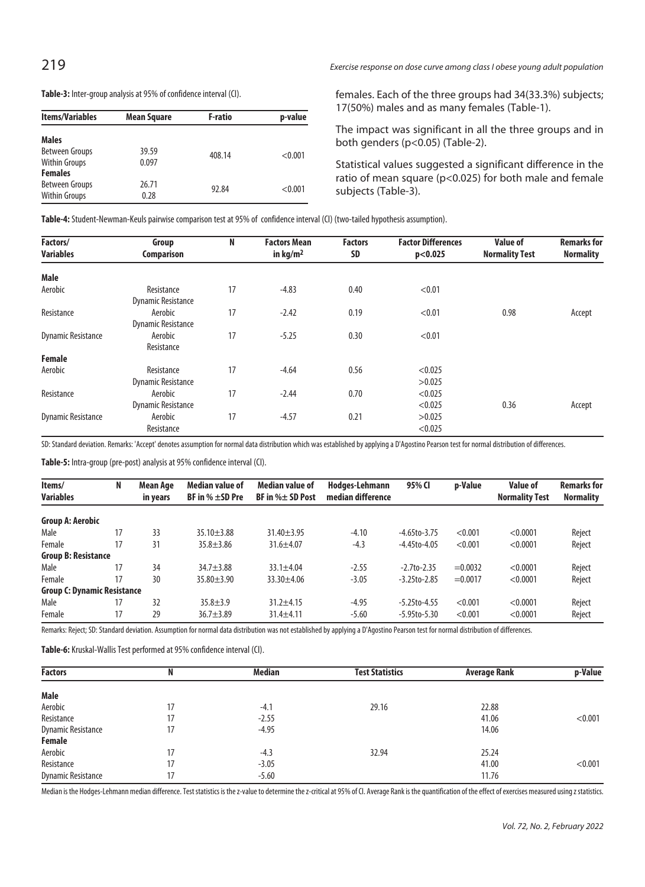# 219 Exercise response on dose curve among class I obese young adult population

**Table-3:** Inter-group analysis at 95% of confidence interval (CI).

| <b>Items/Variables</b>                                   | Mean Square    | F-ratio | p-value |
|----------------------------------------------------------|----------------|---------|---------|
| <b>Males</b>                                             |                |         |         |
| Between Groups<br><b>Within Groups</b>                   | 39.59<br>0.097 | 408.14  | < 0.001 |
| <b>Females</b><br>Between Groups<br><b>Within Groups</b> | 26.71<br>0.28  | 92.84   | < 0.001 |

females. Each of the three groups had 34(33.3%) subjects; 17(50%) males and as many females (Table-1).

The impact was significant in all the three groups and in both genders (p<0.05) (Table-2).

Statistical values suggested a significant difference in the ratio of mean square (p<0.025) for both male and female subjects (Table-3).

**Table-4:** Student-Newman-Keuls pairwise comparison test at 95% of confidence interval (CI) (two-tailed hypothesis assumption).

| Factors/                  | Group                                   | N  | <b>Factors Mean</b> | <b>Factors</b> | <b>Factor Differences</b> | <b>Value of</b>       | <b>Remarks for</b> |
|---------------------------|-----------------------------------------|----|---------------------|----------------|---------------------------|-----------------------|--------------------|
| <b>Variables</b>          | Comparison                              |    | in $kg/m2$          | <b>SD</b>      | p<0.025                   | <b>Normality Test</b> | <b>Normality</b>   |
| Male                      |                                         |    |                     |                |                           |                       |                    |
| Aerobic                   | Resistance<br><b>Dynamic Resistance</b> | 17 | $-4.83$             | 0.40           | < 0.01                    |                       |                    |
| Resistance                | Aerobic<br><b>Dynamic Resistance</b>    | 17 | $-2.42$             | 0.19           | < 0.01                    | 0.98                  | Accept             |
| <b>Dynamic Resistance</b> | Aerobic<br>Resistance                   | 17 | $-5.25$             | 0.30           | < 0.01                    |                       |                    |
| <b>Female</b>             |                                         |    |                     |                |                           |                       |                    |
| Aerobic                   | Resistance                              | 17 | $-4.64$             | 0.56           | < 0.025                   |                       |                    |
|                           | <b>Dynamic Resistance</b>               |    |                     |                | >0.025                    |                       |                    |
| Resistance                | Aerobic                                 | 17 | $-2.44$             | 0.70           | < 0.025                   |                       |                    |
|                           | <b>Dynamic Resistance</b>               |    |                     |                | < 0.025                   | 0.36                  | Accept             |
| <b>Dynamic Resistance</b> | Aerobic                                 | 17 | $-4.57$             | 0.21           | >0.025                    |                       |                    |
|                           | Resistance                              |    |                     |                | < 0.025                   |                       |                    |

SD: Standard deviation. Remarks: 'Accept' denotes assumption for normal data distribution which was established by applying a D'Agostino Pearson test for normal distribution of differences.

**Table-5:** Intra-group (pre-post) analysis at 95% confidence interval (CI).

| Items/<br><b>Variables</b>         | N  | Mean Age<br>in years | Median value of<br>BF in $% \pm SD$ Pre | Median value of<br>BF in $% \pm$ SD Post | Hodges-Lehmann<br>median difference | 95% CI             | p-Value   | <b>Value of</b><br><b>Normality Test</b> | <b>Remarks for</b><br><b>Normality</b> |
|------------------------------------|----|----------------------|-----------------------------------------|------------------------------------------|-------------------------------------|--------------------|-----------|------------------------------------------|----------------------------------------|
| <b>Group A: Aerobic</b>            |    |                      |                                         |                                          |                                     |                    |           |                                          |                                        |
| Male                               | 17 | 33                   | $35.10 + 3.88$                          | $31.40 \pm 3.95$                         | $-4.10$                             | $-4.65$ to $-3.75$ | < 0.001   | < 0.0001                                 | Reject                                 |
| Female                             | 17 | 31                   | $35.8 \pm 3.86$                         | $31.6 \pm 4.07$                          | $-4.3$                              | $-4.45$ to $-4.05$ | < 0.001   | < 0.0001                                 | Reject                                 |
| <b>Group B: Resistance</b>         |    |                      |                                         |                                          |                                     |                    |           |                                          |                                        |
| Male                               | 17 | 34                   | $34.7 + 3.88$                           | $33.1 \pm 4.04$                          | $-2.55$                             | $-2.7$ to $-2.35$  | $=0.0032$ | < 0.0001                                 | Reject                                 |
| Female                             | 17 | 30                   | $35.80 + 3.90$                          | $33.30 + 4.06$                           | $-3.05$                             | $-3.25$ to $-2.85$ | $=0.0017$ | < 0.0001                                 | Reject                                 |
| <b>Group C: Dynamic Resistance</b> |    |                      |                                         |                                          |                                     |                    |           |                                          |                                        |
| Male                               | 17 | 32                   | $35.8 + 3.9$                            | $31.2 + 4.15$                            | $-4.95$                             | $-5.25$ to $-4.55$ | < 0.001   | < 0.0001                                 | Reject                                 |
| Female                             | 17 | 29                   | $36.7 \pm 3.89$                         | $31.4 \pm 4.11$                          | $-5.60$                             | $-5.95$ to $-5.30$ | < 0.001   | < 0.0001                                 | Reject                                 |

Remarks: Reject; SD: Standard deviation. Assumption for normal data distribution was not established by applying a D'Agostino Pearson test for normal distribution of differences.

**Table-6:** Kruskal-Wallis Test performed at 95% confidence interval (CI).

| <b>Factors</b>            |    | Median  | <b>Test Statistics</b> | Average Rank | p-Value |
|---------------------------|----|---------|------------------------|--------------|---------|
|                           |    |         |                        |              |         |
| Male                      |    |         |                        |              |         |
| Aerobic                   | 17 | $-4.1$  | 29.16                  | 22.88        |         |
| Resistance                | 17 | $-2.55$ |                        | 41.06        | < 0.001 |
| <b>Dynamic Resistance</b> | 17 | $-4.95$ |                        | 14.06        |         |
| Female                    |    |         |                        |              |         |
| Aerobic                   | 17 | $-4.3$  | 32.94                  | 25.24        |         |
| Resistance                | 17 | $-3.05$ |                        | 41.00        | < 0.001 |
| <b>Dynamic Resistance</b> | 17 | $-5.60$ |                        | 11.76        |         |

Median is the Hodges-Lehmann median difference. Test statistics is the z-value to determine the z-critical at 95% of CI. Average Rank is the quantification of the effect of exercises measured using z statistics.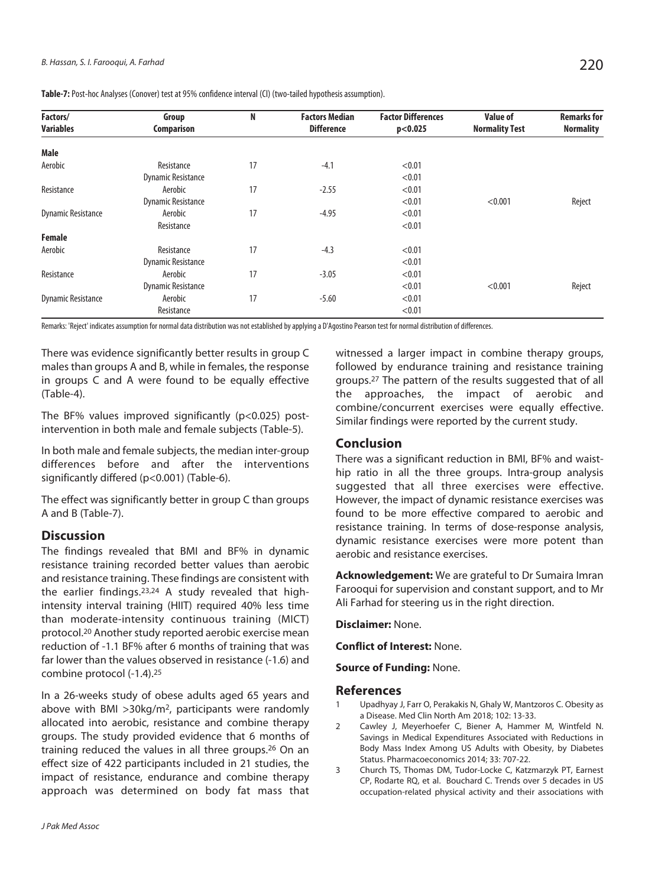| Factors/                  | Group                     | N  | <b>Factors Median</b> | <b>Factor Differences</b> | <b>Value of</b>       | <b>Remarks for</b> |
|---------------------------|---------------------------|----|-----------------------|---------------------------|-----------------------|--------------------|
| Variables                 | <b>Comparison</b>         |    | <b>Difference</b>     | p<0.025                   | <b>Normality Test</b> | <b>Normality</b>   |
| Male                      |                           |    |                       |                           |                       |                    |
| Aerobic                   | Resistance                | 17 | $-4.1$                | < 0.01                    |                       |                    |
|                           | <b>Dynamic Resistance</b> |    |                       | < 0.01                    |                       |                    |
| Resistance                | Aerobic                   | 17 | $-2.55$               | < 0.01                    |                       |                    |
|                           | <b>Dynamic Resistance</b> |    |                       | < 0.01                    | < 0.001               | Reject             |
| <b>Dynamic Resistance</b> | Aerobic                   | 17 | $-4.95$               | < 0.01                    |                       |                    |
|                           | Resistance                |    |                       | < 0.01                    |                       |                    |
| <b>Female</b>             |                           |    |                       |                           |                       |                    |
| Aerobic                   | Resistance                | 17 | $-4.3$                | < 0.01                    |                       |                    |
|                           | <b>Dynamic Resistance</b> |    |                       | < 0.01                    |                       |                    |
| Resistance                | Aerobic                   | 17 | $-3.05$               | < 0.01                    |                       |                    |
|                           | <b>Dynamic Resistance</b> |    |                       | < 0.01                    | < 0.001               | Reject             |
| <b>Dynamic Resistance</b> | Aerobic                   | 17 | $-5.60$               | < 0.01                    |                       |                    |
|                           | Resistance                |    |                       | < 0.01                    |                       |                    |

**Table-7:** Post-hoc Analyses (Conover) test at 95% confidence interval (CI) (two-tailed hypothesis assumption).

Remarks: 'Reject' indicates assumption for normal data distribution was not established by applying a D'Agostino Pearson test for normal distribution of differences.

There was evidence significantly better results in group C males than groups A and B, while in females, the response in groups C and A were found to be equally effective (Table-4).

The BF% values improved significantly ( $p$ <0.025) postintervention in both male and female subjects (Table-5).

In both male and female subjects, the median inter-group differences before and after the interventions significantly differed (p<0.001) (Table-6).

The effect was significantly better in group C than groups A and B (Table-7).

### **Discussion**

The findings revealed that BMI and BF% in dynamic resistance training recorded better values than aerobic and resistance training. These findings are consistent with the earlier findings.23,24 A study revealed that highintensity interval training (HIIT) required 40% less time than moderate-intensity continuous training (MICT) protocol.20 Another study reported aerobic exercise mean reduction of -1.1 BF% after 6 months of training that was far lower than the values observed in resistance (-1.6) and combine protocol (-1.4).25

In a 26-weeks study of obese adults aged 65 years and above with BMI >30kg/m2, participants were randomly allocated into aerobic, resistance and combine therapy groups. The study provided evidence that 6 months of training reduced the values in all three groups.26 On an effect size of 422 participants included in 21 studies, the impact of resistance, endurance and combine therapy approach was determined on body fat mass that witnessed a larger impact in combine therapy groups, followed by endurance training and resistance training groups.27 The pattern of the results suggested that of all the approaches, the impact of aerobic and combine/concurrent exercises were equally effective. Similar findings were reported by the current study.

## **Conclusion**

There was a significant reduction in BMI, BF% and waisthip ratio in all the three groups. Intra-group analysis suggested that all three exercises were effective. However, the impact of dynamic resistance exercises was found to be more effective compared to aerobic and resistance training. In terms of dose-response analysis, dynamic resistance exercises were more potent than aerobic and resistance exercises.

**Acknowledgement:** We are grateful to Dr Sumaira Imran Farooqui for supervision and constant support, and to Mr Ali Farhad for steering us in the right direction.

**Disclaimer:** None.

**Conflict of Interest:** None.

**Source of Funding:** None.

#### **References**

- 1 Upadhyay J, Farr O, Perakakis N, Ghaly W, Mantzoros C. Obesity as a Disease. Med Clin North Am 2018; 102: 13-33.
- 2 Cawley J, Meyerhoefer C, Biener A, Hammer M, Wintfeld N. Savings in Medical Expenditures Associated with Reductions in Body Mass Index Among US Adults with Obesity, by Diabetes Status. Pharmacoeconomics 2014; 33: 707-22.
- 3 Church TS, Thomas DM, Tudor-Locke C, Katzmarzyk PT, Earnest CP, Rodarte RQ, et al. Bouchard C. Trends over 5 decades in US occupation-related physical activity and their associations with